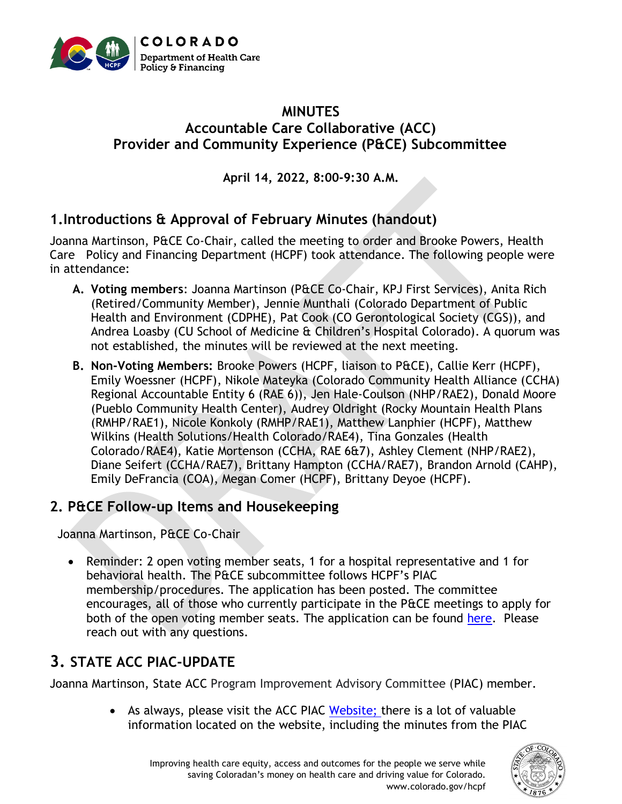

# **MINUTES Accountable Care Collaborative (ACC) Provider and Community Experience (P&CE) Subcommittee**

**April 14, 2022, 8:00-9:30 A.M.**

# **1.Introductions & Approval of February Minutes (handout)**

Joanna Martinson, P&CE Co-Chair, called the meeting to order and Brooke Powers, Health Care Policy and Financing Department (HCPF) took attendance. The following people were in attendance:

- **A. Voting members**: Joanna Martinson (P&CE Co-Chair, KPJ First Services), Anita Rich (Retired/Community Member), Jennie Munthali (Colorado Department of Public Health and Environment (CDPHE), Pat Cook (CO Gerontological Society (CGS)), and Andrea Loasby (CU School of Medicine & Children's Hospital Colorado). A quorum was not established, the minutes will be reviewed at the next meeting.
- **B. Non-Voting Members:** Brooke Powers (HCPF, liaison to P&CE), Callie Kerr (HCPF), Emily Woessner (HCPF), Nikole Mateyka (Colorado Community Health Alliance (CCHA) Regional Accountable Entity 6 (RAE 6)), Jen Hale-Coulson (NHP/RAE2), Donald Moore (Pueblo Community Health Center), Audrey Oldright (Rocky Mountain Health Plans (RMHP/RAE1), Nicole Konkoly (RMHP/RAE1), Matthew Lanphier (HCPF), Matthew Wilkins (Health Solutions/Health Colorado/RAE4), Tina Gonzales (Health Colorado/RAE4), Katie Mortenson (CCHA, RAE 6&7), Ashley Clement (NHP/RAE2), Diane Seifert (CCHA/RAE7), Brittany Hampton (CCHA/RAE7), Brandon Arnold (CAHP), Emily DeFrancia (COA), Megan Comer (HCPF), Brittany Deyoe (HCPF).

## **2. P&CE Follow-up Items and Housekeeping**

Joanna Martinson, P&CE Co-Chair

• Reminder: 2 open voting member seats, 1 for a hospital representative and 1 for behavioral health. The P&CE subcommittee follows HCPF's PIAC membership/procedures. The application has been posted. The committee encourages, all of those who currently participate in the P&CE meetings to apply for both of the open voting member seats. The application can be found [here.](https://docs.google.com/forms/d/e/1FAIpQLSf_Vli4tbXwRB40CbK6RvopPq2ab3ThM2MBKpdX5TjIrXlw1A/viewform) Please reach out with any questions.

# **3. STATE ACC PIAC-UPDATE**

Joanna Martinson, State ACC Program Improvement Advisory Committee (PIAC) member.

• As always, please visit the ACC PIAC [Website;](https://hcpf.colorado.gov/accountable-care-collaborative-program-improvement-advisory-committee) there is a lot of valuable information located on the website, including the minutes from the PIAC

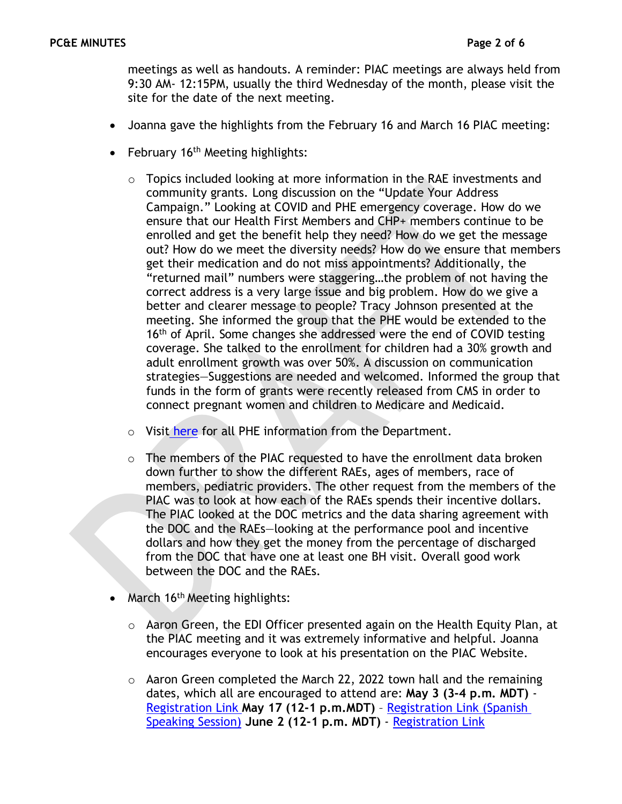meetings as well as handouts. A reminder: PIAC meetings are always held from 9:30 AM- 12:15PM, usually the third Wednesday of the month, please visit the site for the date of the next meeting.

- Joanna gave the highlights from the February 16 and March 16 PIAC meeting:
- February 16<sup>th</sup> Meeting highlights:
	- o Topics included looking at more information in the RAE investments and community grants. Long discussion on the "Update Your Address Campaign." Looking at COVID and PHE emergency coverage. How do we ensure that our Health First Members and CHP+ members continue to be enrolled and get the benefit help they need? How do we get the message out? How do we meet the diversity needs? How do we ensure that members get their medication and do not miss appointments? Additionally, the "returned mail" numbers were staggering…the problem of not having the correct address is a very large issue and big problem. How do we give a better and clearer message to people? Tracy Johnson presented at the meeting. She informed the group that the PHE would be extended to the 16<sup>th</sup> of April. Some changes she addressed were the end of COVID testing coverage. She talked to the enrollment for children had a 30% growth and adult enrollment growth was over 50%. A discussion on communication strategies—Suggestions are needed and welcomed. Informed the group that funds in the form of grants were recently released from CMS in order to connect pregnant women and children to Medicare and Medicaid.
	- o Visit [here](https://hcpf.colorado.gov/phe-planning?msclkid=eb5268e5bbfc11ec91fbb53f229e4f55) for all PHE information from the Department.
	- o The members of the PIAC requested to have the enrollment data broken down further to show the different RAEs, ages of members, race of members, pediatric providers. The other request from the members of the PIAC was to look at how each of the RAEs spends their incentive dollars. The PIAC looked at the DOC metrics and the data sharing agreement with the DOC and the RAEs—looking at the performance pool and incentive dollars and how they get the money from the percentage of discharged from the DOC that have one at least one BH visit. Overall good work between the DOC and the RAEs.
- March 16<sup>th</sup> Meeting highlights:
	- o Aaron Green, the EDI Officer presented again on the Health Equity Plan, at the PIAC meeting and it was extremely informative and helpful. Joanna encourages everyone to look at his presentation on the PIAC Website.
	- $\circ$  Aaron Green completed the March 22, 2022 town hall and the remaining dates, which all are encouraged to attend are: **May 3 (3-4 p.m. MDT)** - [Registration Link](https://us06web.zoom.us/webinar/register/WN_pinBX9hFSL2POAL1HLFXMQ) **May 17 (12-1 p.m.MDT)** – [Registration Link \(Spanish](https://us06web.zoom.us/webinar/register/WN_k_qEDdq7SvyYXkOAIpUgzw)  [Speaking Session\)](https://us06web.zoom.us/webinar/register/WN_k_qEDdq7SvyYXkOAIpUgzw) **June 2 (12-1 p.m. MDT)** - [Registration Link](https://us06web.zoom.us/webinar/register/WN_NxbU9taOTyW4_d4lxZ6u0A)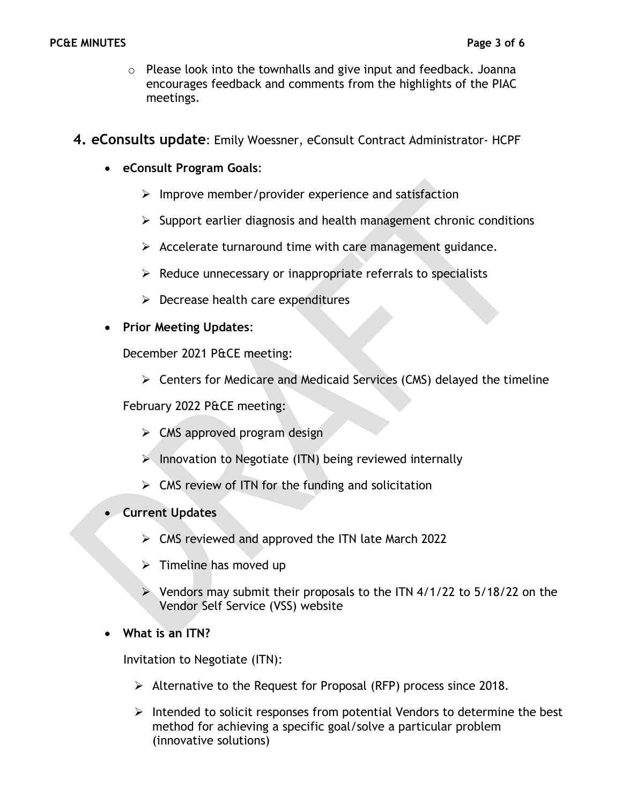- $\circ$  Please look into the townhalls and give input and feedback. Joanna encourages feedback and comments from the highlights of the PIAC meetings.
- **4. eConsults update**: Emily Woessner, eConsult Contract Administrator- HCPF
	- **eConsult Program Goals**:
		- $\triangleright$  Improve member/provider experience and satisfaction
		- $\triangleright$  Support earlier diagnosis and health management chronic conditions
		- $\triangleright$  Accelerate turnaround time with care management guidance.
		- $\triangleright$  Reduce unnecessary or inappropriate referrals to specialists
		- $\triangleright$  Decrease health care expenditures
	- **Prior Meeting Updates**:

December 2021 P&CE meeting:

➢ Centers for Medicare and Medicaid Services (CMS) delayed the timeline

February 2022 P&CE meeting:

- $\triangleright$  CMS approved program design
- ➢ Innovation to Negotiate (ITN) being reviewed internally
- $\triangleright$  CMS review of ITN for the funding and solicitation
- **Current Updates**
	- $\triangleright$  CMS reviewed and approved the ITN late March 2022
	- $\triangleright$  Timeline has moved up
	- ➢ Vendors may submit their proposals to the ITN 4/1/22 to 5/18/22 on the Vendor Self Service (VSS) website
- **What is an ITN?**

Invitation to Negotiate (ITN):

- ➢ Alternative to the Request for Proposal (RFP) process since 2018.
- $\triangleright$  Intended to solicit responses from potential Vendors to determine the best method for achieving a specific goal/solve a particular problem (innovative solutions)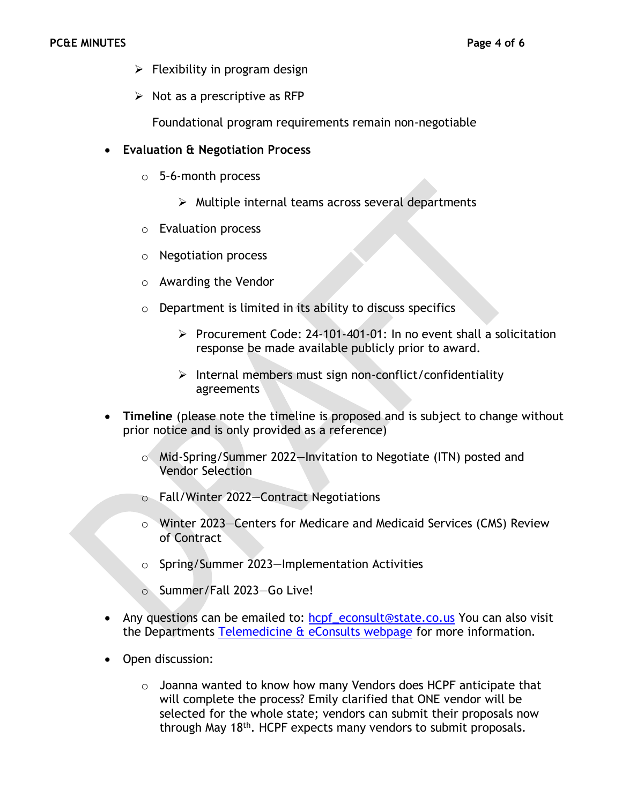- $\triangleright$  Flexibility in program design
- $\triangleright$  Not as a prescriptive as RFP

Foundational program requirements remain non-negotiable

#### • **Evaluation & Negotiation Process**

- o 5–6-month process
	- ➢ Multiple internal teams across several departments
- o Evaluation process
- o Negotiation process
- o Awarding the Vendor
- $\circ$  Department is limited in its ability to discuss specifics
	- ➢ Procurement Code: 24-101-401-01: In no event shall a solicitation response be made available publicly prior to award.
	- ➢ Internal members must sign non-conflict/confidentiality agreements
- **Timeline** (please note the timeline is proposed and is subject to change without prior notice and is only provided as a reference)
	- o Mid-Spring/Summer 2022—Invitation to Negotiate (ITN) posted and Vendor Selection
	- o Fall/Winter 2022—Contract Negotiations
	- o Winter 2023—Centers for Medicare and Medicaid Services (CMS) Review of Contract
	- o Spring/Summer 2023—Implementation Activities
	- o Summer/Fall 2023—Go Live!
- Any questions can be emailed to: hcpf econsult@state.co.us You can also visit the Departments [Telemedicine & eConsults webpage](https://hcpf.colorado.gov/eConsult%20Platform) for more information.
- Open discussion:
	- $\circ$  Joanna wanted to know how many Vendors does HCPF anticipate that will complete the process? Emily clarified that ONE vendor will be selected for the whole state; vendors can submit their proposals now through May 18<sup>th</sup>. HCPF expects many vendors to submit proposals.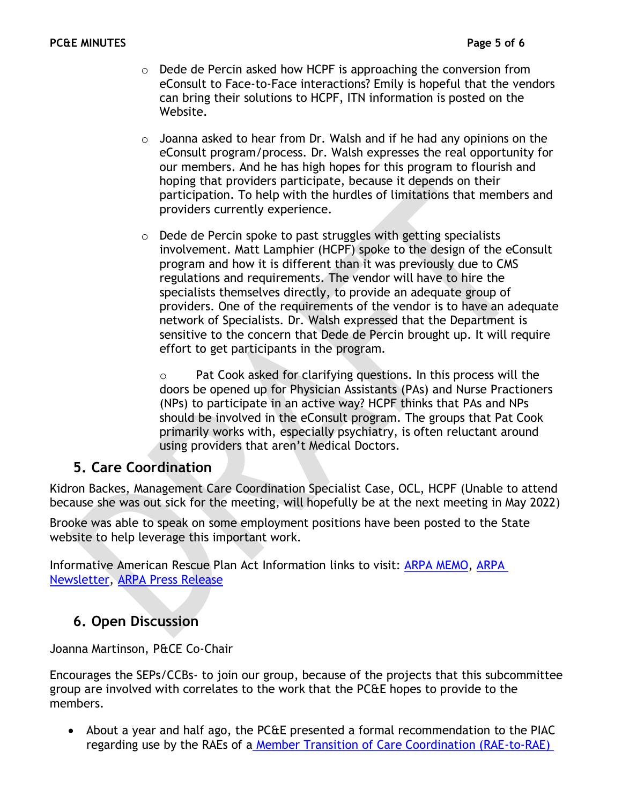- $\circ$  Dede de Percin asked how HCPF is approaching the conversion from eConsult to Face-to-Face interactions? Emily is hopeful that the vendors can bring their solutions to HCPF, ITN information is posted on the Website.
- o Joanna asked to hear from Dr. Walsh and if he had any opinions on the eConsult program/process. Dr. Walsh expresses the real opportunity for our members. And he has high hopes for this program to flourish and hoping that providers participate, because it depends on their participation. To help with the hurdles of limitations that members and providers currently experience.
- o Dede de Percin spoke to past struggles with getting specialists involvement. Matt Lamphier (HCPF) spoke to the design of the eConsult program and how it is different than it was previously due to CMS regulations and requirements. The vendor will have to hire the specialists themselves directly, to provide an adequate group of providers. One of the requirements of the vendor is to have an adequate network of Specialists. Dr. Walsh expressed that the Department is sensitive to the concern that Dede de Percin brought up. It will require effort to get participants in the program.

o Pat Cook asked for clarifying questions. In this process will the doors be opened up for Physician Assistants (PAs) and Nurse Practioners (NPs) to participate in an active way? HCPF thinks that PAs and NPs should be involved in the eConsult program. The groups that Pat Cook primarily works with, especially psychiatry, is often reluctant around using providers that aren't Medical Doctors.

### **5. Care Coordination**

Kidron Backes, Management Care Coordination Specialist Case, OCL, HCPF (Unable to attend because she was out sick for the meeting, will hopefully be at the next meeting in May 2022)

Brooke was able to speak on some employment positions have been posted to the State website to help leverage this important work.

Informative American Rescue Plan Act Information links to visit: [ARPA MEMO,](https://hcpf.colorado.gov/2021-memo-series-communication) [ARPA](https://lp.constantcontactpages.com/su/hcMkUsw/ARPANewsletter)  [Newsletter,](https://lp.constantcontactpages.com/su/hcMkUsw/ARPANewsletter) [ARPA Press Release](https://hcpf.colorado.gov/cms-and-colorados-joint-budget-committee-approve-530-million-arpa-funds-to-transform)

### **6. Open Discussion**

Joanna Martinson, P&CE Co-Chair

Encourages the SEPs/CCBs- to join our group, because of the projects that this subcommittee group are involved with correlates to the work that the PC&E hopes to provide to the members.

• About a year and half ago, the PC&E presented a formal recommendation to the PIAC regarding use by the RAEs of a [Member Transition of Care Coordination \(RAE-to-RAE\)](chrome-extension://efaidnbmnnnibpcajpcglclefindmkaj/https:/hcpf.colorado.gov/sites/hcpf/files/Provider%20and%20Community%20Experience%20PIAC%20Subcommittee%20Member%20Transition%20of%20Care%20Coordination%20%28RAE%20to%20RAE%29%20Form%20April%202021.pdf)